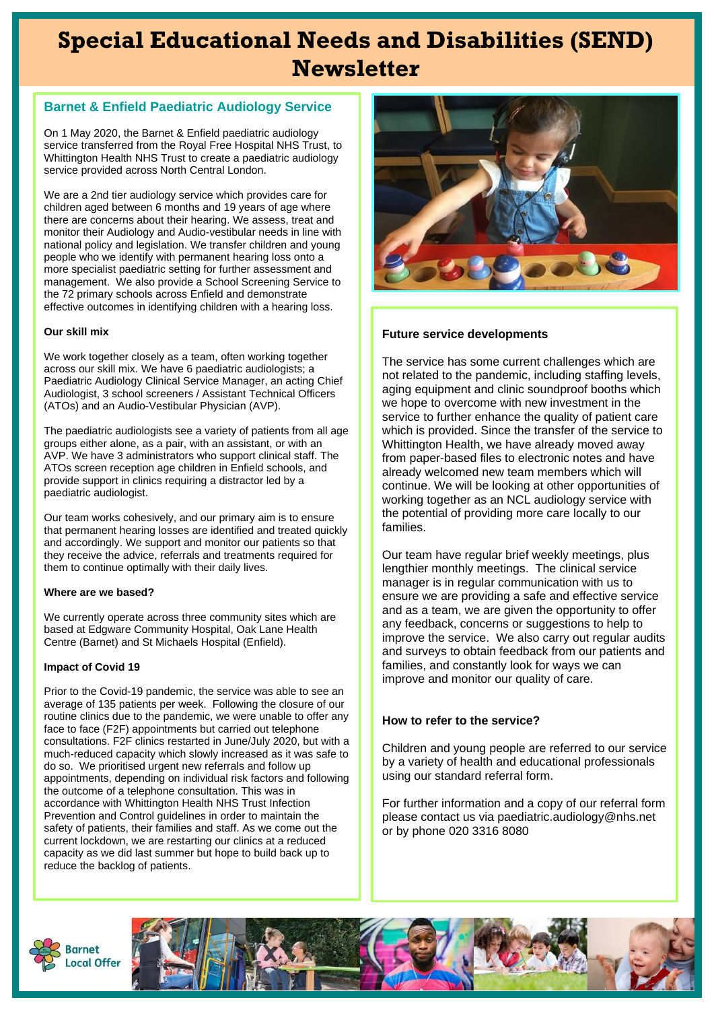# **Special Educational Needs and Disabilities (SEND) Newsletter**

### **Barnet & Enfield Paediatric Audiology Service**

On 1 May 2020, the Barnet & Enfield paediatric audiology service transferred from the Royal Free Hospital NHS Trust, to Whittington Health NHS Trust to create a paediatric audiology service provided across North Central London.

We are a 2nd tier audiology service which provides care for children aged between 6 months and 19 years of age where there are concerns about their hearing. We assess, treat and monitor their Audiology and Audio-vestibular needs in line with national policy and legislation. We transfer children and young people who we identify with permanent hearing loss onto a more specialist paediatric setting for further assessment and management. We also provide a School Screening Service to the 72 primary schools across Enfield and demonstrate effective outcomes in identifying children with a hearing loss.

### **Our skill mix**

We work together closely as a team, often working together across our skill mix. We have 6 paediatric audiologists; a Paediatric Audiology Clinical Service Manager, an acting Chief Audiologist, 3 school screeners / Assistant Technical Officers (ATOs) and an Audio-Vestibular Physician (AVP).

The paediatric audiologists see a variety of patients from all age groups either alone, as a pair, with an assistant, or with an AVP. We have 3 administrators who support clinical staff. The ATOs screen reception age children in Enfield schools, and provide support in clinics requiring a distractor led by a paediatric audiologist.

Our team works cohesively, and our primary aim is to ensure that permanent hearing losses are identified and treated quickly and accordingly. We support and monitor our patients so that they receive the advice, referrals and treatments required for them to continue optimally with their daily lives.

#### **Where are we based?**

We currently operate across three community sites which are based at Edgware Community Hospital, Oak Lane Health Centre (Barnet) and St Michaels Hospital (Enfield).

#### **Impact of Covid 19**

Prior to the Covid-19 pandemic, the service was able to see an average of 135 patients per week. Following the closure of our routine clinics due to the pandemic, we were unable to offer any face to face (F2F) appointments but carried out telephone consultations. F2F clinics restarted in June/July 2020, but with a much-reduced capacity which slowly increased as it was safe to do so. We prioritised urgent new referrals and follow up appointments, depending on individual risk factors and following the outcome of a telephone consultation. This was in accordance with Whittington Health NHS Trust Infection Prevention and Control guidelines in order to maintain the safety of patients, their families and staff. As we come out the current lockdown, we are restarting our clinics at a reduced capacity as we did last summer but hope to build back up to reduce the backlog of patients.



### **Future service developments**

The service has some current challenges which are not related to the pandemic, including staffing levels, aging equipment and clinic soundproof booths which we hope to overcome with new investment in the service to further enhance the quality of patient care which is provided. Since the transfer of the service to Whittington Health, we have already moved away from paper-based files to electronic notes and have already welcomed new team members which will continue. We will be looking at other opportunities of working together as an NCL audiology service with the potential of providing more care locally to our families.

Our team have regular brief weekly meetings, plus lengthier monthly meetings. The clinical service manager is in regular communication with us to ensure we are providing a safe and effective service and as a team, we are given the opportunity to offer any feedback, concerns or suggestions to help to improve the service. We also carry out regular audits and surveys to obtain feedback from our patients and families, and constantly look for ways we can improve and monitor our quality of care.

### **How to refer to the service?**

Children and young people are referred to our service by a variety of health and educational professionals using our standard referral form.

For further information and a copy of our referral form please contact us via paediatric.audiology@nhs.net or by phone 020 3316 8080



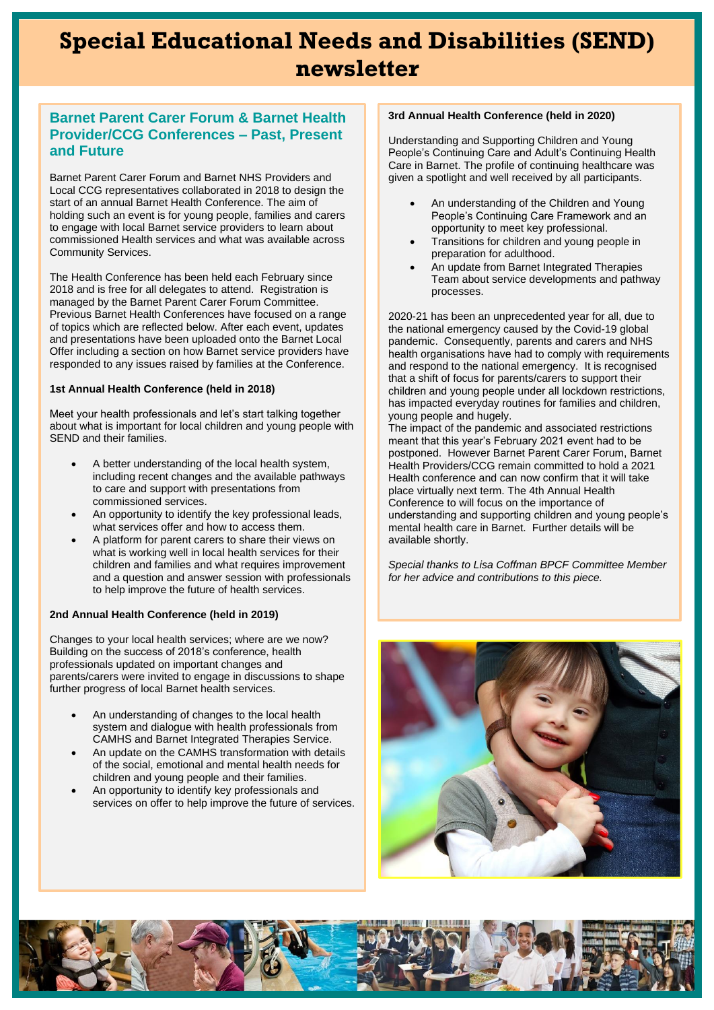## **Special Educational Needs and Disabilities (SEND) newsletter**

### **Barnet Parent Carer Forum & Barnet Health Provider/CCG Conferences – Past, Present and Future**

Barnet Parent Carer Forum and Barnet NHS Providers and Local CCG representatives collaborated in 2018 to design the start of an annual Barnet Health Conference. The aim of holding such an event is for young people, families and carers to engage with local Barnet service providers to learn about commissioned Health services and what was available across Community Services.

The Health Conference has been held each February since 2018 and is free for all delegates to attend. Registration is managed by the Barnet Parent Carer Forum Committee. Previous Barnet Health Conferences have focused on a range of topics which are reflected below. After each event, updates and presentations have been uploaded onto the Barnet Local Offer including a section on how Barnet service providers have responded to any issues raised by families at the Conference.

#### **1st Annual Health Conference (held in 2018)**

Meet your health professionals and let's start talking together about what is important for local children and young people with SEND and their families.

- A better understanding of the local health system, including recent changes and the available pathways to care and support with presentations from commissioned services.
- An opportunity to identify the key professional leads, what services offer and how to access them.
- A platform for parent carers to share their views on what is working well in local health services for their children and families and what requires improvement and a question and answer session with professionals to help improve the future of health services.

### **2nd Annual Health Conference (held in 2019)**

Changes to your local health services; where are we now? Building on the success of 2018's conference, health professionals updated on important changes and parents/carers were invited to engage in discussions to shape further progress of local Barnet health services.

- An understanding of changes to the local health system and dialogue with health professionals from CAMHS and Barnet Integrated Therapies Service.
- An update on the CAMHS transformation with details of the social, emotional and mental health needs for children and young people and their families.
- An opportunity to identify key professionals and services on offer to help improve the future of services.

### **3rd Annual Health Conference (held in 2020)**

Understanding and Supporting Children and Young People's Continuing Care and Adult's Continuing Health Care in Barnet. The profile of continuing healthcare was given a spotlight and well received by all participants.

- An understanding of the Children and Young People's Continuing Care Framework and an opportunity to meet key professional.
- Transitions for children and young people in preparation for adulthood.
- An update from Barnet Integrated Therapies Team about service developments and pathway processes.

2020-21 has been an unprecedented year for all, due to the national emergency caused by the Covid-19 global pandemic. Consequently, parents and carers and NHS health organisations have had to comply with requirements and respond to the national emergency. It is recognised that a shift of focus for parents/carers to support their children and young people under all lockdown restrictions, has impacted everyday routines for families and children, young people and hugely.

The impact of the pandemic and associated restrictions meant that this year's February 2021 event had to be postponed. However Barnet Parent Carer Forum, Barnet Health Providers/CCG remain committed to hold a 2021 Health conference and can now confirm that it will take place virtually next term. The 4th Annual Health Conference to will focus on the importance of understanding and supporting children and young people's mental health care in Barnet. Further details will be available shortly.

*Special thanks to Lisa Coffman BPCF Committee Member for her advice and contributions to this piece.*



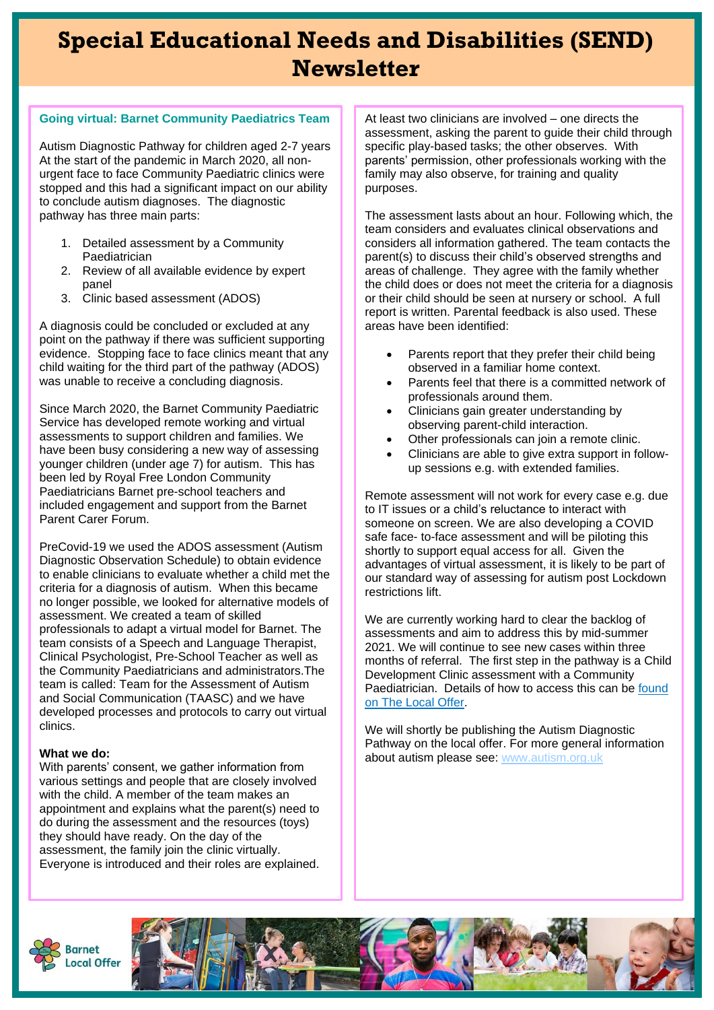# **Special Educational Needs and Disabilities (SEND) Newsletter**

### **Going virtual: Barnet Community Paediatrics Team**

Autism Diagnostic Pathway for children aged 2-7 years At the start of the pandemic in March 2020, all nonurgent face to face Community Paediatric clinics were stopped and this had a significant impact on our ability to conclude autism diagnoses. The diagnostic pathway has three main parts:

- 1. Detailed assessment by a Community Paediatrician
- 2. Review of all available evidence by expert panel
- 3. Clinic based assessment (ADOS)

A diagnosis could be concluded or excluded at any point on the pathway if there was sufficient supporting evidence. Stopping face to face clinics meant that any child waiting for the third part of the pathway (ADOS) was unable to receive a concluding diagnosis.

Since March 2020, the Barnet Community Paediatric Service has developed remote working and virtual assessments to support children and families. We have been busy considering a new way of assessing younger children (under age 7) for autism. This has been led by Royal Free London Community Paediatricians Barnet pre-school teachers and included engagement and support from the Barnet Parent Carer Forum.

PreCovid-19 we used the ADOS assessment (Autism Diagnostic Observation Schedule) to obtain evidence to enable clinicians to evaluate whether a child met the criteria for a diagnosis of autism. When this became no longer possible, we looked for alternative models of assessment. We created a team of skilled professionals to adapt a virtual model for Barnet. The team consists of a Speech and Language Therapist, Clinical Psychologist, Pre-School Teacher as well as the Community Paediatricians and administrators.The team is called: Team for the Assessment of Autism and Social Communication (TAASC) and we have developed processes and protocols to carry out virtual clinics.

### **What we do:**

With parents' consent, we gather information from various settings and people that are closely involved with the child. A member of the team makes an appointment and explains what the parent(s) need to do during the assessment and the resources (toys) they should have ready. On the day of the assessment, the family join the clinic virtually. Everyone is introduced and their roles are explained.

At least two clinicians are involved – one directs the assessment, asking the parent to guide their child through specific play-based tasks; the other observes. With parents' permission, other professionals working with the family may also observe, for training and quality purposes.

The assessment lasts about an hour. Following which, the team considers and evaluates clinical observations and considers all information gathered. The team contacts the parent(s) to discuss their child's observed strengths and areas of challenge. They agree with the family whether the child does or does not meet the criteria for a diagnosis or their child should be seen at nursery or school. A full report is written. Parental feedback is also used. These areas have been identified:

- Parents report that they prefer their child being observed in a familiar home context.
- Parents feel that there is a committed network of professionals around them.
- Clinicians gain greater understanding by observing parent-child interaction.
- Other professionals can join a remote clinic.
- Clinicians are able to give extra support in followup sessions e.g. with extended families.

Remote assessment will not work for every case e.g. due to IT issues or a child's reluctance to interact with someone on screen. We are also developing a COVID safe face- to-face assessment and will be piloting this shortly to support equal access for all. Given the advantages of virtual assessment, it is likely to be part of our standard way of assessing for autism post Lockdown restrictions lift.

We are currently working hard to clear the backlog of assessments and aim to address this by mid-summer 2021. We will continue to see new cases within three months of referral. The first step in the pathway is a Child Development Clinic assessment with a Community Paediatrician. Details of how to access this can be found [on The Local Offer.](http://www.barnetlocaloffer.org.uk/pages/home/information-and-advice/how-to-get-help/barnet-child-development-service)

We will shortly be publishing the Autism Diagnostic Pathway on the local offer. For more general information about autism please see: [www.autism.org.uk](http://www.autism.org.uk/)



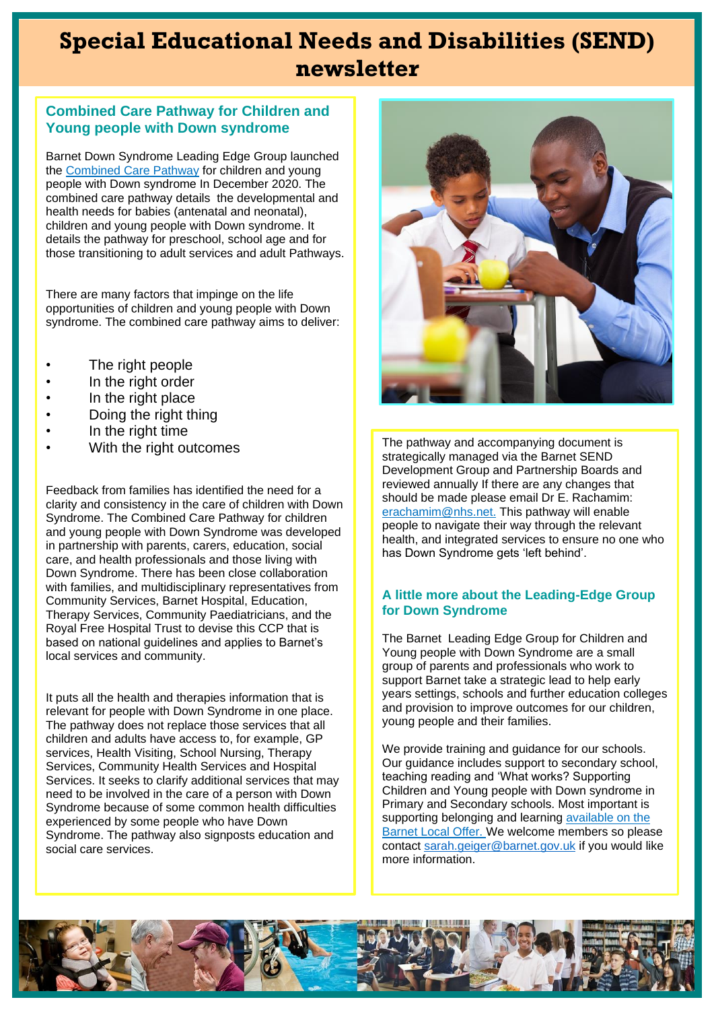# **Special Educational Needs and Disabilities (SEND) newsletter**

### **Combined Care Pathway for Children and Young people with Down syndrome**

Barnet Down Syndrome Leading Edge Group launched the [Combined Care Pathway](https://5f2fe3253cd1dfa0d089bf8b2cdb6a1dc2999fecbc372702016c.ssl.cf3.rackcdn.com/uploads/ckeditor/attachments/8203/Down_Syndrome_combined_care_pathway_final_V3_Dec_2020.pdf) for children and young people with Down syndrome In December 2020. The combined care pathway details the developmental and health needs for babies (antenatal and neonatal), children and young people with Down syndrome. It details the pathway for preschool, school age and for those transitioning to adult services and adult Pathways.

There are many factors that impinge on the life opportunities of children and young people with Down syndrome. The combined care pathway aims to deliver:

- The right people
- In the right order
- In the right place
- Doing the right thing
- In the right time
- With the right outcomes

Feedback from families has identified the need for a clarity and consistency in the care of children with Down Syndrome. The Combined Care Pathway for children and young people with Down Syndrome was developed in partnership with parents, carers, education, social care, and health professionals and those living with Down Syndrome. There has been close collaboration with families, and multidisciplinary representatives from Community Services, Barnet Hospital, Education, Therapy Services, Community Paediatricians, and the Royal Free Hospital Trust to devise this CCP that is based on national guidelines and applies to Barnet's local services and community.

It puts all the health and therapies information that is relevant for people with Down Syndrome in one place. The pathway does not replace those services that all children and adults have access to, for example, GP services, Health Visiting, School Nursing, Therapy Services, Community Health Services and Hospital Services. It seeks to clarify additional services that may need to be involved in the care of a person with Down Syndrome because of some common health difficulties experienced by some people who have Down Syndrome. The pathway also signposts education and social care services.



The pathway and accompanying document is strategically managed via the Barnet SEND Development Group and Partnership Boards and reviewed annually If there are any changes that should be made please email Dr E. Rachamim: [erachamim@nhs.net.](mailto:erachamim@nhs.net) This pathway will enable people to navigate their way through the relevant health, and integrated services to ensure no one who has Down Syndrome gets 'left behind'.

### **A little more about the Leading-Edge Group for Down Syndrome**

The Barnet Leading Edge Group for Children and Young people with Down Syndrome are a small group of parents and professionals who work to support Barnet take a strategic lead to help early years settings, schools and further education colleges and provision to improve outcomes for our children, young people and their families.

We provide training and guidance for our schools. Our guidance includes support to secondary school, teaching reading and 'What works? Supporting Children and Young people with Down syndrome in Primary and Secondary schools. Most important is supporting belonging and learning available on the [Barnet Local Offer.](https://www.barnetlocaloffer.org.uk/pages/home/information-and-advice/how-to-get-help/barnet%20leading%20edge%20groups/barnet%20down%20syndrome%20leading%20edge%20group) We welcome members so please contac[t sarah.geiger@barnet.gov.uk](mailto:sarah.geiger@barnet.gov.uk) if you would like more information.

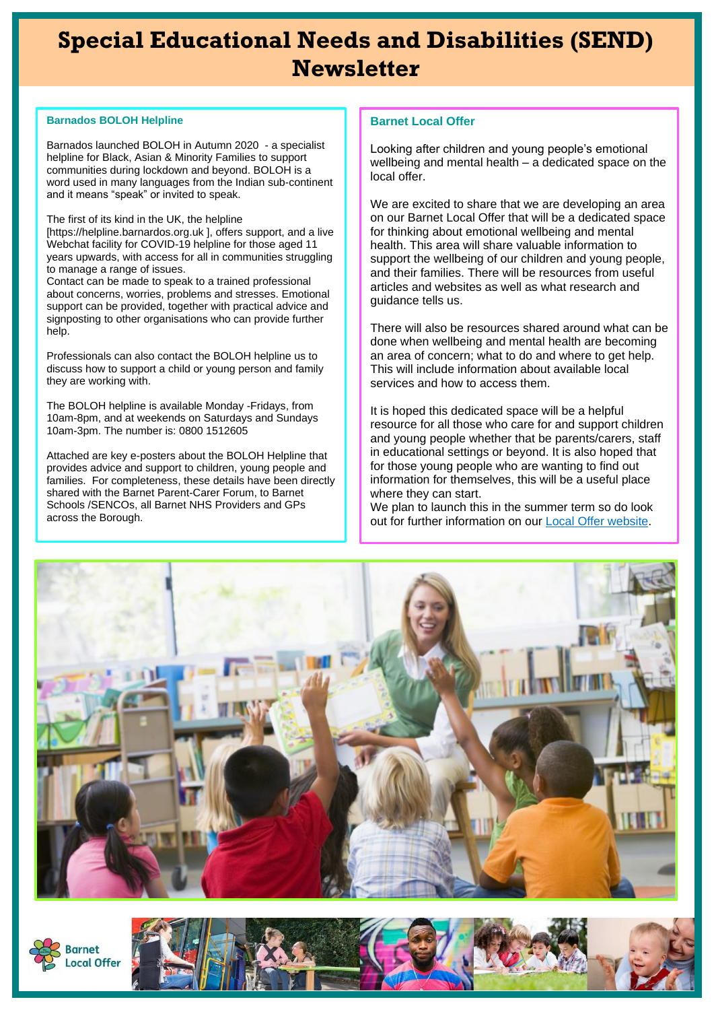# **Special Educational Needs and Disabilities (SEND) Newsletter**

#### **Barnados BOLOH Helpline**

Barnados launched BOLOH in Autumn 2020 - a specialist helpline for Black, Asian & Minority Families to support communities during lockdown and beyond. BOLOH is a word used in many languages from the Indian sub-continent and it means "speak" or invited to speak.

The first of its kind in the UK, the helpline

[https://helpline.barnardos.org.uk ], offers support, and a live Webchat facility for COVID-19 helpline for those aged 11 years upwards, with access for all in communities struggling to manage a range of issues.

Contact can be made to speak to a trained professional about concerns, worries, problems and stresses. Emotional support can be provided, together with practical advice and signposting to other organisations who can provide further help.

Professionals can also contact the BOLOH helpline us to discuss how to support a child or young person and family they are working with.

The BOLOH helpline is available Monday -Fridays, from 10am-8pm, and at weekends on Saturdays and Sundays 10am-3pm. The number is: 0800 1512605

Attached are key e-posters about the BOLOH Helpline that provides advice and support to children, young people and families. For completeness, these details have been directly shared with the Barnet Parent-Carer Forum, to Barnet Schools /SENCOs, all Barnet NHS Providers and GPs across the Borough.

#### **Barnet Local Offer**

Looking after children and young people's emotional wellbeing and mental health – a dedicated space on the local offer.

We are excited to share that we are developing an area on our Barnet Local Offer that will be a dedicated space for thinking about emotional wellbeing and mental health. This area will share valuable information to support the wellbeing of our children and young people, and their families. There will be resources from useful articles and websites as well as what research and guidance tells us.

There will also be resources shared around what can be done when wellbeing and mental health are becoming an area of concern; what to do and where to get help. This will include information about available local services and how to access them.

It is hoped this dedicated space will be a helpful resource for all those who care for and support children and young people whether that be parents/carers, staff in educational settings or beyond. It is also hoped that for those young people who are wanting to find out information for themselves, this will be a useful place where they can start.

We plan to launch this in the summer term so do look out for further information on our [Local Offer website.](https://www.barnetlocaloffer.org.uk/)



arnet ocal Offer